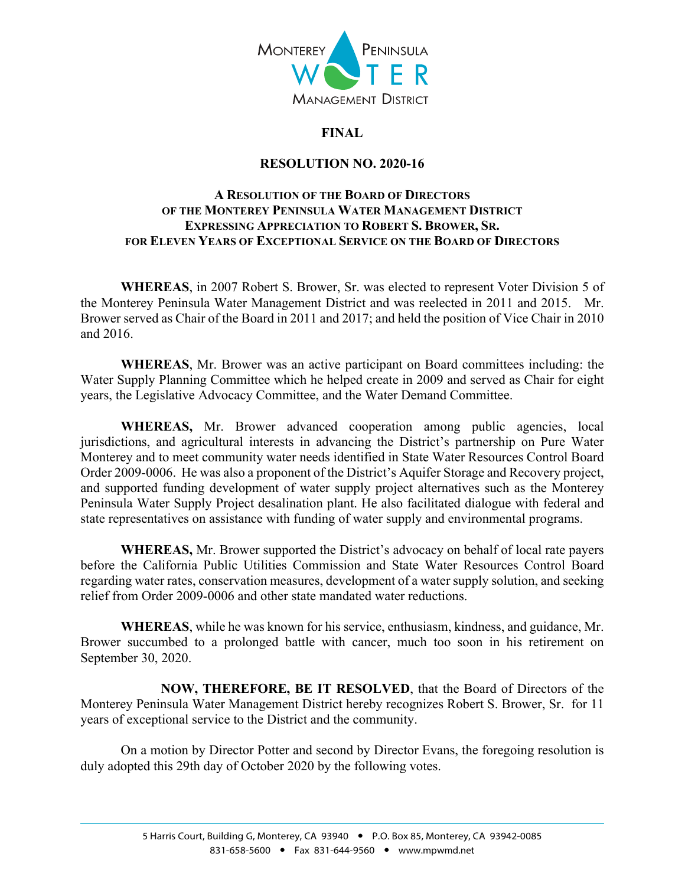

## **FINAL**

## **RESOLUTION NO. 2020-16**

## **A RESOLUTION OF THE BOARD OF DIRECTORS OF THE MONTEREY PENINSULA WATER MANAGEMENT DISTRICT EXPRESSING APPRECIATION TO ROBERT S. BROWER, SR. FOR ELEVEN YEARS OF EXCEPTIONAL SERVICE ON THE BOARD OF DIRECTORS**

**WHEREAS**, in 2007 Robert S. Brower, Sr. was elected to represent Voter Division 5 of the Monterey Peninsula Water Management District and was reelected in 2011 and 2015. Mr. Brower served as Chair of the Board in 2011 and 2017; and held the position of Vice Chair in 2010 and 2016.

**WHEREAS**, Mr. Brower was an active participant on Board committees including: the Water Supply Planning Committee which he helped create in 2009 and served as Chair for eight years, the Legislative Advocacy Committee, and the Water Demand Committee.

**WHEREAS,** Mr. Brower advanced cooperation among public agencies, local jurisdictions, and agricultural interests in advancing the District's partnership on Pure Water Monterey and to meet community water needs identified in State Water Resources Control Board Order 2009-0006. He was also a proponent of the District's Aquifer Storage and Recovery project, and supported funding development of water supply project alternatives such as the Monterey Peninsula Water Supply Project desalination plant. He also facilitated dialogue with federal and state representatives on assistance with funding of water supply and environmental programs.

 **WHEREAS,** Mr. Brower supported the District's advocacy on behalf of local rate payers before the California Public Utilities Commission and State Water Resources Control Board regarding water rates, conservation measures, development of a water supply solution, and seeking relief from Order 2009-0006 and other state mandated water reductions.

 **WHEREAS**, while he was known for his service, enthusiasm, kindness, and guidance, Mr. Brower succumbed to a prolonged battle with cancer, much too soon in his retirement on September 30, 2020.

 **NOW, THEREFORE, BE IT RESOLVED**, that the Board of Directors of the Monterey Peninsula Water Management District hereby recognizes Robert S. Brower, Sr. for 11 years of exceptional service to the District and the community.

 On a motion by Director Potter and second by Director Evans, the foregoing resolution is duly adopted this 29th day of October 2020 by the following votes.